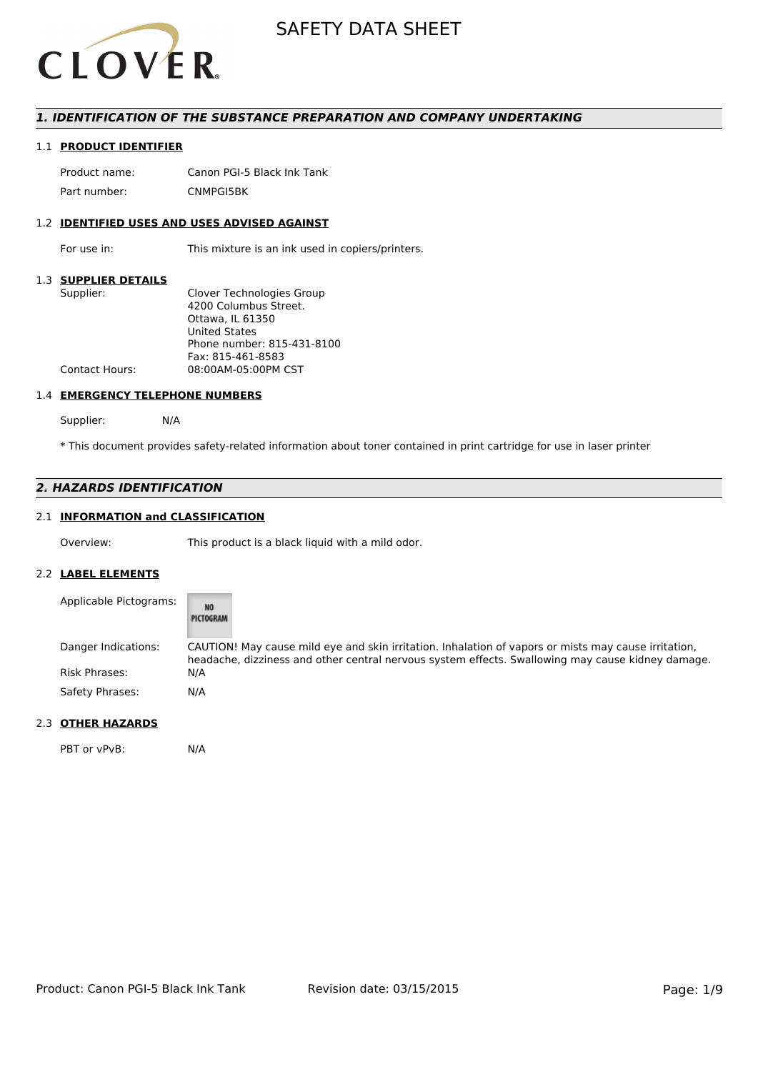

## *1. IDENTIFICATION OF THE SUBSTANCE PREPARATION AND COMPANY UNDERTAKING*

## 1.1 **PRODUCT IDENTIFIER**

Product name: Canon PGI-5 Black Ink Tank Part number: CNMPGI5BK

## 1.2 **IDENTIFIED USES AND USES ADVISED AGAINST**

For use in: This mixture is an ink used in copiers/printers.

#### 1.3 **SUPPLIER DETAILS**

| Supplier:             | Clover Technologies Group  |
|-----------------------|----------------------------|
|                       | 4200 Columbus Street.      |
|                       | Ottawa, IL 61350           |
|                       | <b>United States</b>       |
|                       | Phone number: 815-431-8100 |
|                       | Fax: 815-461-8583          |
| <b>Contact Hours:</b> | 08:00AM-05:00PM CST        |
|                       |                            |

#### 1.4 **EMERGENCY TELEPHONE NUMBERS**

Supplier: N/A

\* This document provides safety-related information about toner contained in print cartridge for use in laser printer

# *2. HAZARDS IDENTIFICATION*

# 2.1 **INFORMATION and CLASSIFICATION**

Overview: This product is a black liquid with a mild odor.

#### 2.2 **LABEL ELEMENTS**

| Applicable Pictograms: | NŌ<br>PICTOGRAM                                                                                                                                                                                           |
|------------------------|-----------------------------------------------------------------------------------------------------------------------------------------------------------------------------------------------------------|
| Danger Indications:    | CAUTION! May cause mild eye and skin irritation. Inhalation of vapors or mists may cause irritation,<br>headache, dizziness and other central nervous system effects. Swallowing may cause kidney damage. |
| <b>Risk Phrases:</b>   | N/A                                                                                                                                                                                                       |
| Safety Phrases:        | N/A                                                                                                                                                                                                       |

# 2.3 **OTHER HAZARDS**

PBT or vPvB: N/A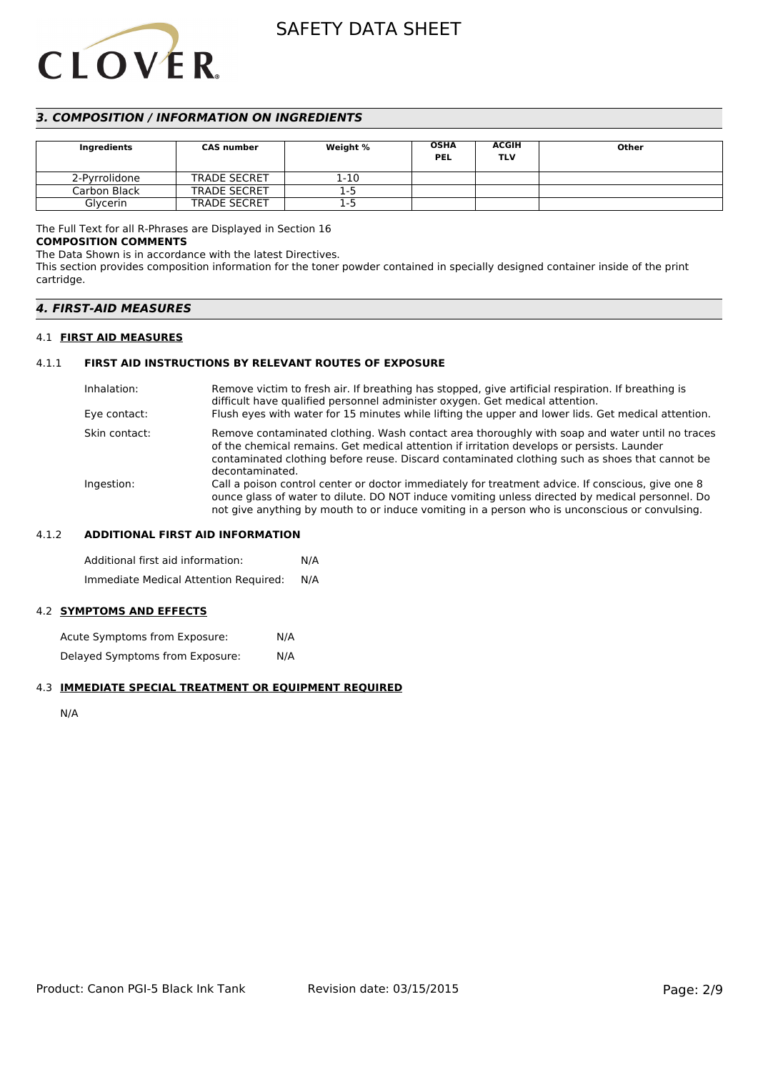# **CLOVER**

# SAFETY DATA SHEET

# *3. COMPOSITION / INFORMATION ON INGREDIENTS*

| Ingredients   | <b>CAS number</b>   | Weight % | <b>OSHA</b><br><b>PEL</b> | <b>ACGIH</b><br><b>TLV</b> | Other |
|---------------|---------------------|----------|---------------------------|----------------------------|-------|
| 2-Pyrrolidone | <b>TRADE SECRET</b> | 1-10     |                           |                            |       |
| Carbon Black  | <b>TRADE SECRET</b> | $1-5$    |                           |                            |       |
| Glycerin      | <b>TRADE SECRET</b> | 1-5      |                           |                            |       |

## The Full Text for all R-Phrases are Displayed in Section 16

#### **COMPOSITION COMMENTS**

The Data Shown is in accordance with the latest Directives.

This section provides composition information for the toner powder contained in specially designed container inside of the print cartridge.

# *4. FIRST-AID MEASURES*

#### 4.1 **FIRST AID MEASURES**

# 4.1.1 **FIRST AID INSTRUCTIONS BY RELEVANT ROUTES OF EXPOSURE**

| Inhalation:   | Remove victim to fresh air. If breathing has stopped, give artificial respiration. If breathing is<br>difficult have qualified personnel administer oxygen. Get medical attention.                                                                                                                                |
|---------------|-------------------------------------------------------------------------------------------------------------------------------------------------------------------------------------------------------------------------------------------------------------------------------------------------------------------|
| Eye contact:  | Flush eyes with water for 15 minutes while lifting the upper and lower lids. Get medical attention.                                                                                                                                                                                                               |
| Skin contact: | Remove contaminated clothing. Wash contact area thoroughly with soap and water until no traces<br>of the chemical remains. Get medical attention if irritation develops or persists. Launder<br>contaminated clothing before reuse. Discard contaminated clothing such as shoes that cannot be<br>decontaminated. |
| Ingestion:    | Call a poison control center or doctor immediately for treatment advice. If conscious, give one 8<br>ounce glass of water to dilute. DO NOT induce vomiting unless directed by medical personnel. Do<br>not give anything by mouth to or induce vomiting in a person who is unconscious or convulsing.            |

#### 4.1.2 **ADDITIONAL FIRST AID INFORMATION**

Additional first aid information: N/A Immediate Medical Attention Required: N/A

## 4.2 **SYMPTOMS AND EFFECTS**

Acute Symptoms from Exposure: N/A Delayed Symptoms from Exposure: N/A

# 4.3 **IMMEDIATE SPECIAL TREATMENT OR EQUIPMENT REQUIRED**

N/A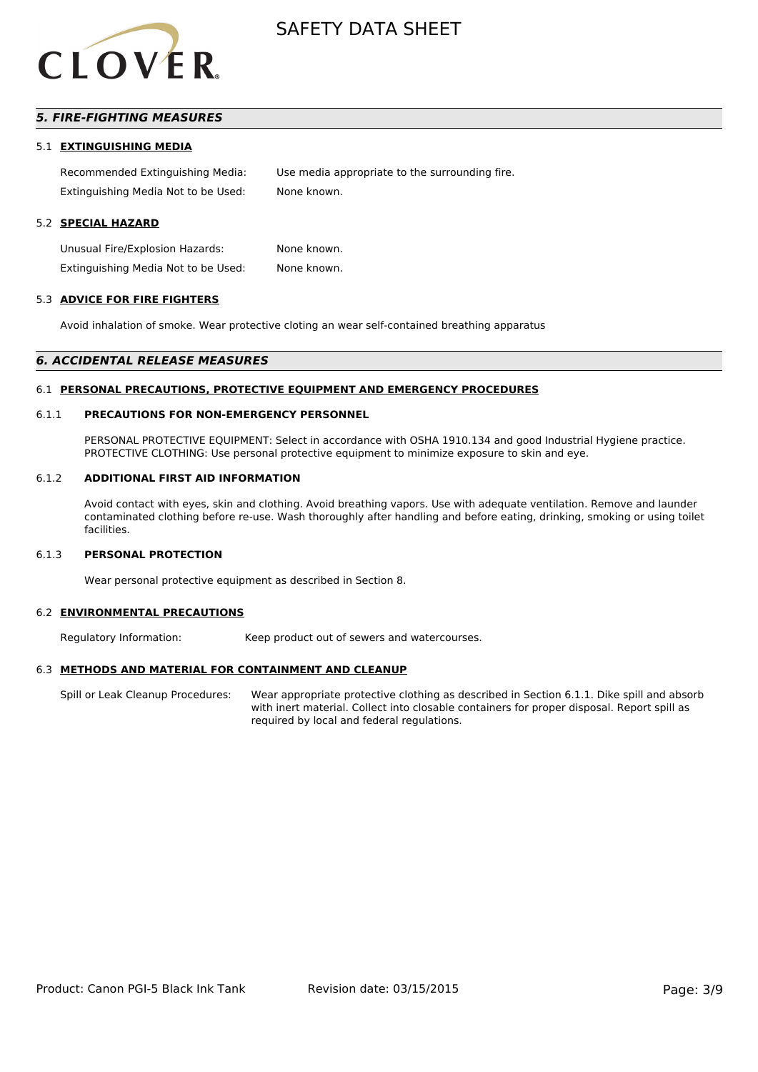

# *5. FIRE-FIGHTING MEASURES*

#### 5.1 **EXTINGUISHING MEDIA**

Recommended Extinguishing Media: Use media appropriate to the surrounding fire. Extinguishing Media Not to be Used: None known.

#### 5.2 **SPECIAL HAZARD**

Unusual Fire/Explosion Hazards: None known. Extinguishing Media Not to be Used: None known.

#### 5.3 **ADVICE FOR FIRE FIGHTERS**

Avoid inhalation of smoke. Wear protective cloting an wear self-contained breathing apparatus

#### *6. ACCIDENTAL RELEASE MEASURES*

#### 6.1 **PERSONAL PRECAUTIONS, PROTECTIVE EQUIPMENT AND EMERGENCY PROCEDURES**

#### 6.1.1 **PRECAUTIONS FOR NON-EMERGENCY PERSONNEL**

PERSONAL PROTECTIVE EQUIPMENT: Select in accordance with OSHA 1910.134 and good Industrial Hygiene practice. PROTECTIVE CLOTHING: Use personal protective equipment to minimize exposure to skin and eye.

#### 6.1.2 **ADDITIONAL FIRST AID INFORMATION**

Avoid contact with eyes, skin and clothing. Avoid breathing vapors. Use with adequate ventilation. Remove and launder contaminated clothing before re-use. Wash thoroughly after handling and before eating, drinking, smoking or using toilet facilities.

#### 6.1.3 **PERSONAL PROTECTION**

Wear personal protective equipment as described in Section 8.

#### 6.2 **ENVIRONMENTAL PRECAUTIONS**

Regulatory Information: Keep product out of sewers and watercourses.

#### 6.3 **METHODS AND MATERIAL FOR CONTAINMENT AND CLEANUP**

Spill or Leak Cleanup Procedures: Wear appropriate protective clothing as described in Section 6.1.1. Dike spill and absorb with inert material. Collect into closable containers for proper disposal. Report spill as required by local and federal regulations.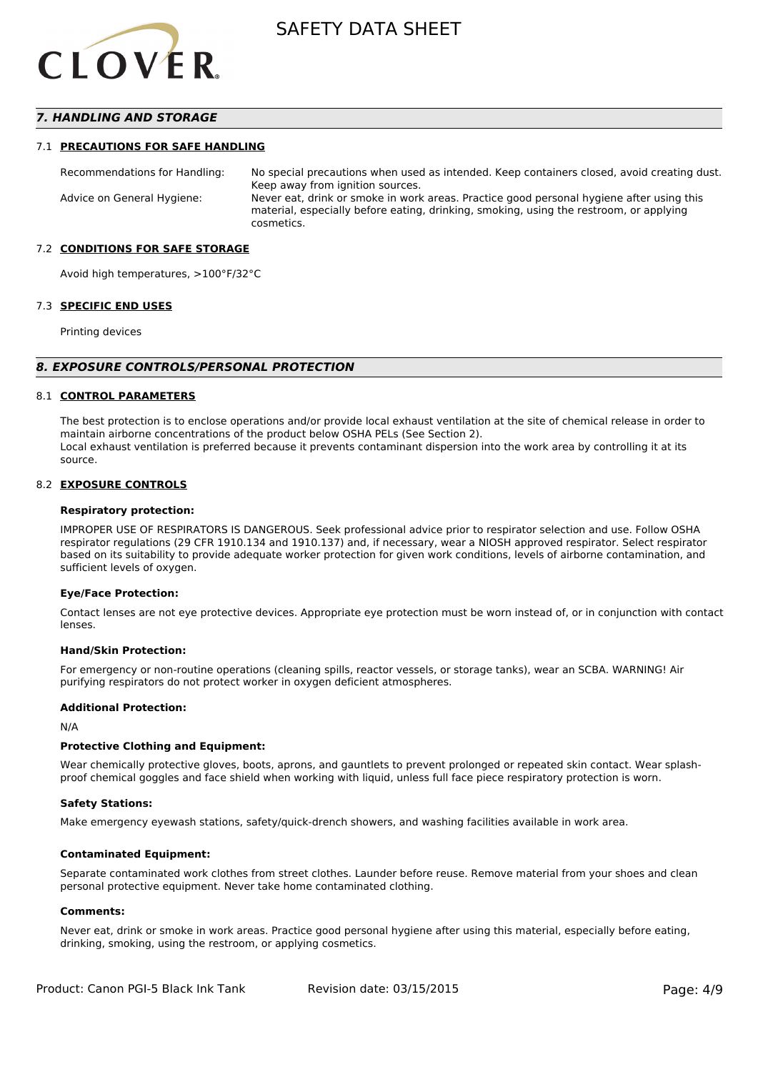

## *7. HANDLING AND STORAGE*

#### 7.1 **PRECAUTIONS FOR SAFE HANDLING**

Recommendations for Handling: No special precautions when used as intended. Keep containers closed, avoid creating dust. Keep away from ignition sources. Advice on General Hygiene: Never eat, drink or smoke in work areas. Practice good personal hygiene after using this material, especially before eating, drinking, smoking, using the restroom, or applying cosmetics.

#### 7.2 **CONDITIONS FOR SAFE STORAGE**

Avoid high temperatures, >100°F/32°C

#### 7.3 **SPECIFIC END USES**

Printing devices

#### *8. EXPOSURE CONTROLS/PERSONAL PROTECTION*

#### 8.1 **CONTROL PARAMETERS**

The best protection is to enclose operations and/or provide local exhaust ventilation at the site of chemical release in order to maintain airborne concentrations of the product below OSHA PELs (See Section 2). Local exhaust ventilation is preferred because it prevents contaminant dispersion into the work area by controlling it at its source.

#### 8.2 **EXPOSURE CONTROLS**

#### **Respiratory protection:**

IMPROPER USE OF RESPIRATORS IS DANGEROUS. Seek professional advice prior to respirator selection and use. Follow OSHA respirator regulations (29 CFR 1910.134 and 1910.137) and, if necessary, wear a NIOSH approved respirator. Select respirator based on its suitability to provide adequate worker protection for given work conditions, levels of airborne contamination, and sufficient levels of oxygen.

#### **Eye/Face Protection:**

Contact lenses are not eye protective devices. Appropriate eye protection must be worn instead of, or in conjunction with contact lenses.

#### **Hand/Skin Protection:**

For emergency or non-routine operations (cleaning spills, reactor vessels, or storage tanks), wear an SCBA. WARNING! Air purifying respirators do not protect worker in oxygen deficient atmospheres.

#### **Additional Protection:**

N/A

#### **Protective Clothing and Equipment:**

Wear chemically protective gloves, boots, aprons, and gauntlets to prevent prolonged or repeated skin contact. Wear splashproof chemical goggles and face shield when working with liquid, unless full face piece respiratory protection is worn.

#### **Safety Stations:**

Make emergency eyewash stations, safety/quick-drench showers, and washing facilities available in work area.

#### **Contaminated Equipment:**

Separate contaminated work clothes from street clothes. Launder before reuse. Remove material from your shoes and clean personal protective equipment. Never take home contaminated clothing.

#### **Comments:**

Never eat, drink or smoke in work areas. Practice good personal hygiene after using this material, especially before eating, drinking, smoking, using the restroom, or applying cosmetics.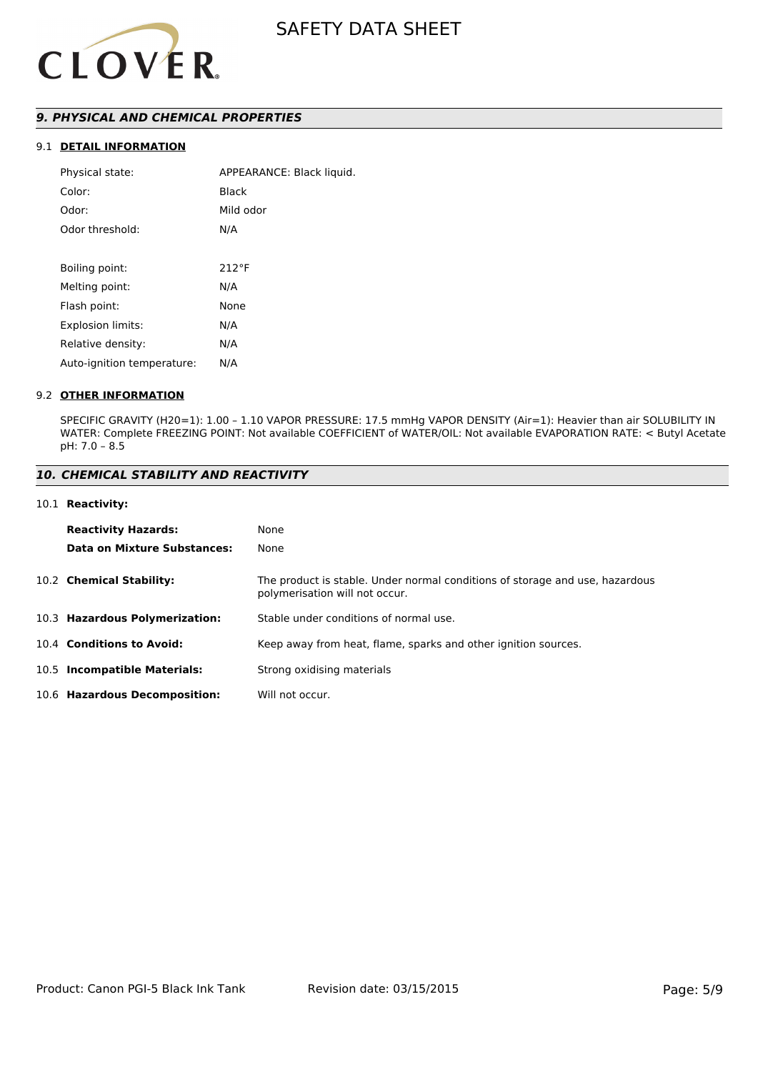

# *9. PHYSICAL AND CHEMICAL PROPERTIES*

# 9.1 **DETAIL INFORMATION**

| Physical state:            | APPEARANCE: Black liquid. |
|----------------------------|---------------------------|
| Color:                     | Black                     |
| Odor:                      | Mild odor                 |
| Odor threshold:            | N/A                       |
|                            |                           |
| Boiling point:             | $212^{\circ}F$            |
| Melting point:             | N/A                       |
| Flash point:               | None                      |
| <b>Explosion limits:</b>   | N/A                       |
| Relative density:          | N/A                       |
| Auto-ignition temperature: | N/A                       |
|                            |                           |

#### 9.2 **OTHER INFORMATION**

SPECIFIC GRAVITY (H20=1): 1.00 – 1.10 VAPOR PRESSURE: 17.5 mmHg VAPOR DENSITY (Air=1): Heavier than air SOLUBILITY IN WATER: Complete FREEZING POINT: Not available COEFFICIENT of WATER/OIL: Not available EVAPORATION RATE: < Butyl Acetate pH: 7.0 – 8.5

# *10. CHEMICAL STABILITY AND REACTIVITY*

#### 10.1 **Reactivity:**

| <b>Reactivity Hazards:</b>     | None                                                                                                           |
|--------------------------------|----------------------------------------------------------------------------------------------------------------|
| Data on Mixture Substances:    | None                                                                                                           |
| 10.2 Chemical Stability:       | The product is stable. Under normal conditions of storage and use, hazardous<br>polymerisation will not occur. |
| 10.3 Hazardous Polymerization: | Stable under conditions of normal use.                                                                         |
| 10.4 Conditions to Avoid:      | Keep away from heat, flame, sparks and other ignition sources.                                                 |
| 10.5 Incompatible Materials:   | Strong oxidising materials                                                                                     |
| 10.6 Hazardous Decomposition:  | Will not occur.                                                                                                |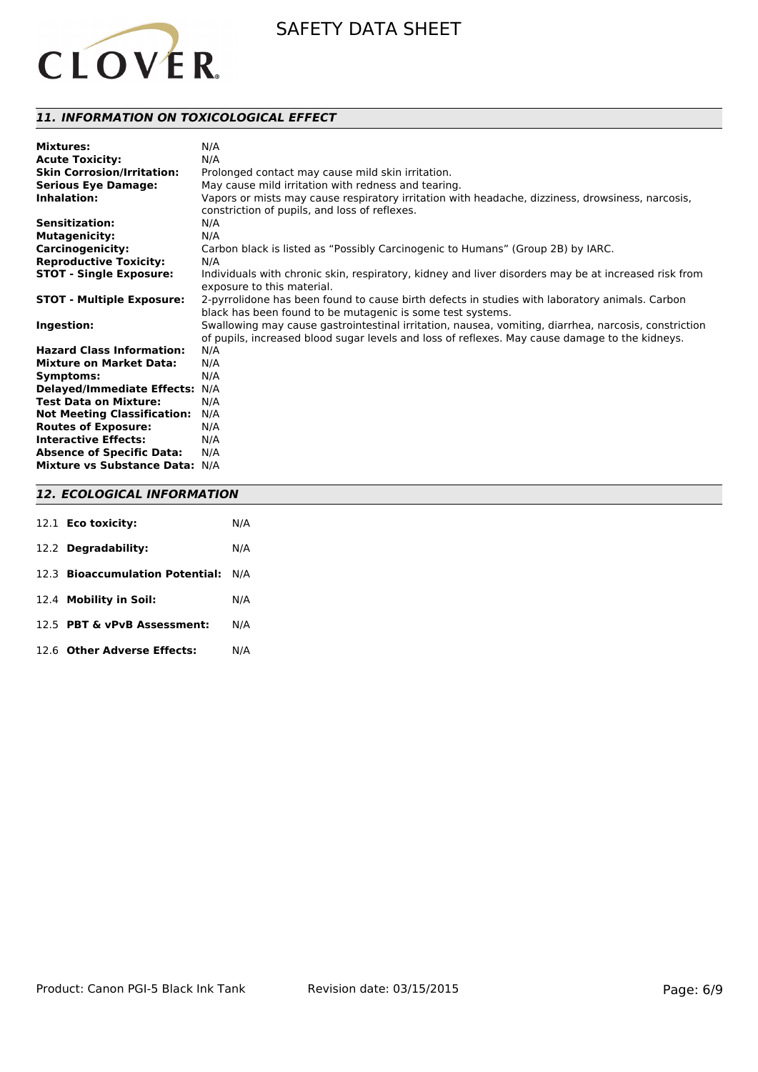

# *11. INFORMATION ON TOXICOLOGICAL EFFECT*

| <b>Mixtures:</b>                   | N/A                                                                                                                                |
|------------------------------------|------------------------------------------------------------------------------------------------------------------------------------|
| <b>Acute Toxicity:</b>             | N/A                                                                                                                                |
| <b>Skin Corrosion/Irritation:</b>  | Prolonged contact may cause mild skin irritation.                                                                                  |
| <b>Serious Eye Damage:</b>         | May cause mild irritation with redness and tearing.                                                                                |
| Inhalation:                        | Vapors or mists may cause respiratory irritation with headache, dizziness, drowsiness, narcosis,                                   |
|                                    | constriction of pupils, and loss of reflexes.                                                                                      |
| Sensitization:                     | N/A                                                                                                                                |
| <b>Mutagenicity:</b>               | N/A                                                                                                                                |
| <b>Carcinogenicity:</b>            | Carbon black is listed as "Possibly Carcinogenic to Humans" (Group 2B) by IARC.                                                    |
| <b>Reproductive Toxicity:</b>      | N/A                                                                                                                                |
| <b>STOT - Single Exposure:</b>     | Individuals with chronic skin, respiratory, kidney and liver disorders may be at increased risk from<br>exposure to this material. |
| <b>STOT - Multiple Exposure:</b>   | 2-pyrrolidone has been found to cause birth defects in studies with laboratory animals. Carbon                                     |
|                                    | black has been found to be mutagenic is some test systems.                                                                         |
| Ingestion:                         | Swallowing may cause gastrointestinal irritation, nausea, vomiting, diarrhea, narcosis, constriction                               |
|                                    | of pupils, increased blood sugar levels and loss of reflexes. May cause damage to the kidneys.                                     |
| <b>Hazard Class Information:</b>   | N/A                                                                                                                                |
| <b>Mixture on Market Data:</b>     | N/A                                                                                                                                |
| Symptoms:                          | N/A                                                                                                                                |
| Delayed/Immediate Effects: N/A     |                                                                                                                                    |
| <b>Test Data on Mixture:</b>       | N/A                                                                                                                                |
| <b>Not Meeting Classification:</b> | N/A                                                                                                                                |
| <b>Routes of Exposure:</b>         | N/A                                                                                                                                |
| <b>Interactive Effects:</b>        | N/A                                                                                                                                |
| <b>Absence of Specific Data:</b>   | N/A                                                                                                                                |
| Mixture vs Substance Data: N/A     |                                                                                                                                    |

# *12. ECOLOGICAL INFORMATION*

| 12.1 <b>Eco toxicity:</b>           | N/A |
|-------------------------------------|-----|
| 12.2 Degradability:                 | N/A |
| 12.3 Bioaccumulation Potential: N/A |     |
| 12.4 Mobility in Soil:              | N/A |
| 12.5 PBT & vPvB Assessment:         | N/A |
| 12.6 Other Adverse Effects:         | N/A |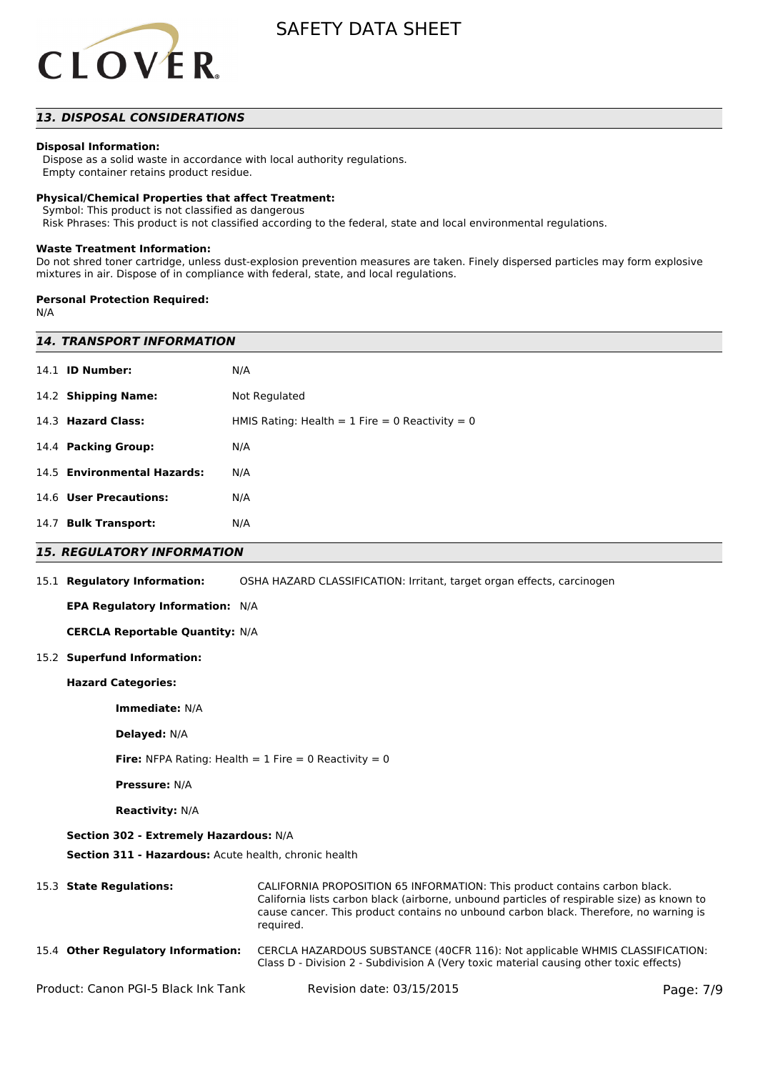

# *13. DISPOSAL CONSIDERATIONS*

#### **Disposal Information:**

 Dispose as a solid waste in accordance with local authority regulations. Empty container retains product residue.

#### **Physical/Chemical Properties that affect Treatment:**

Symbol: This product is not classified as dangerous

Risk Phrases: This product is not classified according to the federal, state and local environmental regulations.

#### **Waste Treatment Information:**

Do not shred toner cartridge, unless dust-explosion prevention measures are taken. Finely dispersed particles may form explosive mixtures in air. Dispose of in compliance with federal, state, and local regulations.

#### **Personal Protection Required:**

N/A

| <b>14. TRANSPORT INFORMATION</b>                               |                                                                                                                                                                                                                                                                                |           |  |  |
|----------------------------------------------------------------|--------------------------------------------------------------------------------------------------------------------------------------------------------------------------------------------------------------------------------------------------------------------------------|-----------|--|--|
| 14.1 <b>ID Number:</b>                                         | N/A                                                                                                                                                                                                                                                                            |           |  |  |
| 14.2 Shipping Name:                                            | Not Regulated                                                                                                                                                                                                                                                                  |           |  |  |
| 14.3 Hazard Class:                                             | HMIS Rating: Health = $1$ Fire = 0 Reactivity = 0                                                                                                                                                                                                                              |           |  |  |
| 14.4 Packing Group:                                            | N/A                                                                                                                                                                                                                                                                            |           |  |  |
| 14.5 Environmental Hazards:                                    | N/A                                                                                                                                                                                                                                                                            |           |  |  |
| 14.6 User Precautions:                                         | N/A                                                                                                                                                                                                                                                                            |           |  |  |
| 14.7 Bulk Transport:                                           | N/A                                                                                                                                                                                                                                                                            |           |  |  |
| <b>15. REGULATORY INFORMATION</b>                              |                                                                                                                                                                                                                                                                                |           |  |  |
| 15.1 Regulatory Information:                                   | OSHA HAZARD CLASSIFICATION: Irritant, target organ effects, carcinogen                                                                                                                                                                                                         |           |  |  |
| <b>EPA Regulatory Information: N/A</b>                         |                                                                                                                                                                                                                                                                                |           |  |  |
| <b>CERCLA Reportable Quantity: N/A</b>                         |                                                                                                                                                                                                                                                                                |           |  |  |
| 15.2 Superfund Information:                                    |                                                                                                                                                                                                                                                                                |           |  |  |
| <b>Hazard Categories:</b>                                      |                                                                                                                                                                                                                                                                                |           |  |  |
| Immediate: N/A                                                 |                                                                                                                                                                                                                                                                                |           |  |  |
| Delayed: N/A                                                   |                                                                                                                                                                                                                                                                                |           |  |  |
| <b>Fire:</b> NFPA Rating: Health = $1$ Fire = 0 Reactivity = 0 |                                                                                                                                                                                                                                                                                |           |  |  |
| <b>Pressure: N/A</b>                                           |                                                                                                                                                                                                                                                                                |           |  |  |
| <b>Reactivity: N/A</b>                                         |                                                                                                                                                                                                                                                                                |           |  |  |
| Section 302 - Extremely Hazardous: N/A                         |                                                                                                                                                                                                                                                                                |           |  |  |
| Section 311 - Hazardous: Acute health, chronic health          |                                                                                                                                                                                                                                                                                |           |  |  |
| 15.3 State Regulations:                                        | CALIFORNIA PROPOSITION 65 INFORMATION: This product contains carbon black.<br>California lists carbon black (airborne, unbound particles of respirable size) as known to<br>cause cancer. This product contains no unbound carbon black. Therefore, no warning is<br>required. |           |  |  |
| 15.4 Other Regulatory Information:                             | CERCLA HAZARDOUS SUBSTANCE (40CFR 116): Not applicable WHMIS CLASSIFICATION:<br>Class D - Division 2 - Subdivision A (Very toxic material causing other toxic effects)                                                                                                         |           |  |  |
| Product: Canon PGI-5 Black Ink Tank                            | Revision date: 03/15/2015                                                                                                                                                                                                                                                      | Page: 7/9 |  |  |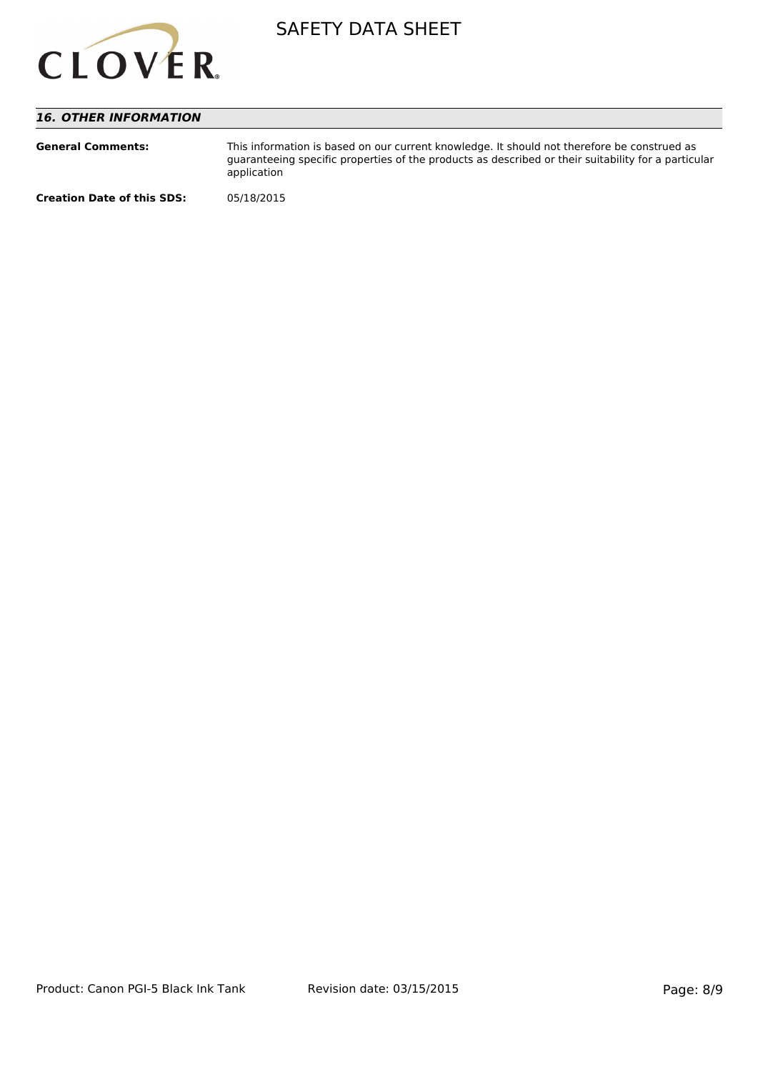

# *16. OTHER INFORMATION*

| <b>General Comments:</b>          | This information is based on our current knowledge. It should not therefore be construed as<br>quaranteeing specific properties of the products as described or their suitability for a particular<br>application |
|-----------------------------------|-------------------------------------------------------------------------------------------------------------------------------------------------------------------------------------------------------------------|
| <b>Creation Date of this SDS:</b> | 05/18/2015                                                                                                                                                                                                        |